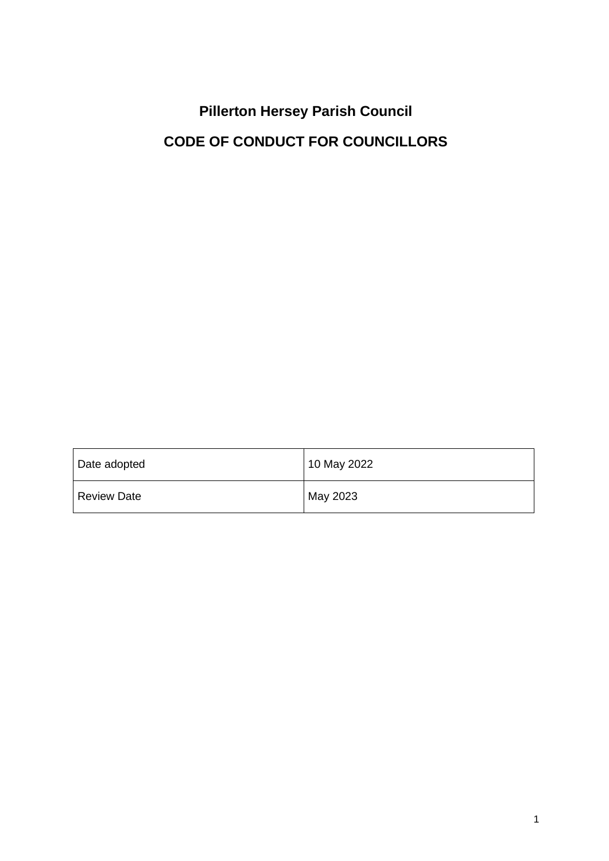# **Pillerton Hersey Parish Council CODE OF CONDUCT FOR COUNCILLORS**

| Date adopted       | 10 May 2022 |
|--------------------|-------------|
| <b>Review Date</b> | May 2023    |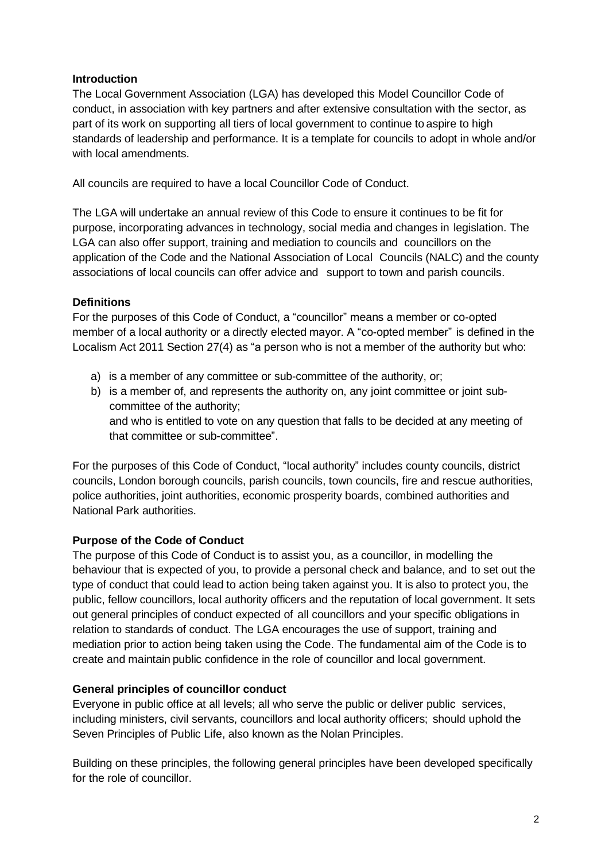#### **Introduction**

The Local Government Association (LGA) has developed this Model Councillor Code of conduct, in association with key partners and after extensive consultation with the sector, as part of its work on supporting all tiers of local government to continue to aspire to high standards of leadership and performance. It is a template for councils to adopt in whole and/or with local amendments.

All councils are required to have a local Councillor Code of Conduct.

The LGA will undertake an annual review of this Code to ensure it continues to be fit for purpose, incorporating advances in technology, social media and changes in legislation. The LGA can also offer support, training and mediation to councils and councillors on the application of the Code and the National Association of Local Councils (NALC) and the county associations of local councils can offer advice and support to town and parish councils.

#### **Definitions**

For the purposes of this Code of Conduct, a "councillor" means a member or co-opted member of a local authority or a directly elected mayor. A "co-opted member" is defined in the Localism Act 2011 Section 27(4) as "a person who is not a member of the authority but who:

- a) is a member of any committee or sub-committee of the authority, or;
- b) is a member of, and represents the authority on, any joint committee or joint subcommittee of the authority; and who is entitled to vote on any question that falls to be decided at any meeting of

that committee or sub-committee".

For the purposes of this Code of Conduct, "local authority" includes county councils, district councils, London borough councils, parish councils, town councils, fire and rescue authorities, police authorities, joint authorities, economic prosperity boards, combined authorities and National Park authorities.

#### **Purpose of the Code of Conduct**

The purpose of this Code of Conduct is to assist you, as a councillor, in modelling the behaviour that is expected of you, to provide a personal check and balance, and to set out the type of conduct that could lead to action being taken against you. It is also to protect you, the public, fellow councillors, local authority officers and the reputation of local government. It sets out general principles of conduct expected of all councillors and your specific obligations in relation to standards of conduct. The LGA encourages the use of support, training and mediation prior to action being taken using the Code. The fundamental aim of the Code is to create and maintain public confidence in the role of councillor and local government.

#### **General principles of councillor conduct**

Everyone in public office at all levels; all who serve the public or deliver public services, including ministers, civil servants, councillors and local authority officers; should uphold th[e](https://www.gov.uk/government/publications/the-7-principles-of-public-life/the-7-principles-of-public-life--2) Seven [Principles of Public Life,](https://www.gov.uk/government/publications/the-7-principles-of-public-life/the-7-principles-of-public-life--2) also known as the Nolan Principles.

Building on these principles, the following general principles have been developed specifically for the role of councillor.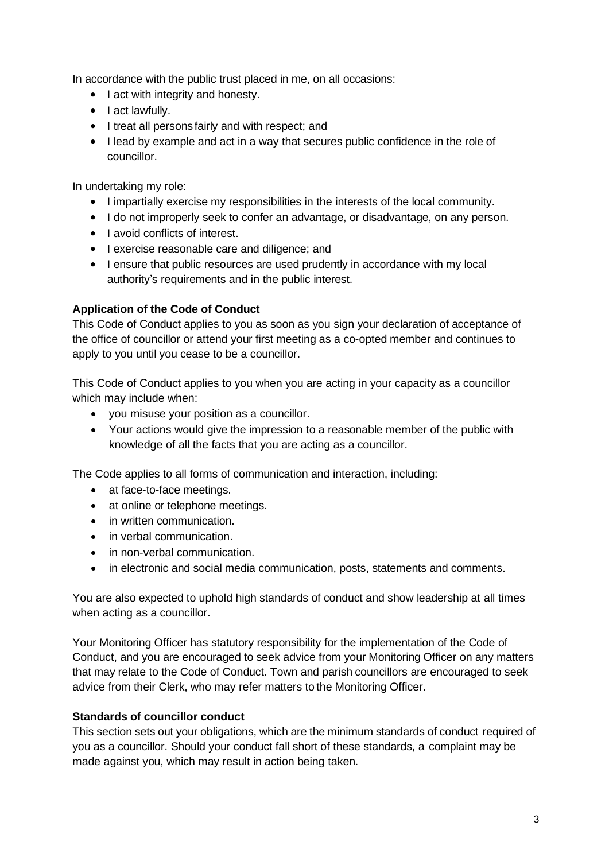In accordance with the public trust placed in me, on all occasions:

- I act with integrity and honesty.
- I act lawfully.
- I treat all persons fairly and with respect; and
- I lead by example and act in a way that secures public confidence in the role of councillor.

In undertaking my role:

- I impartially exercise my responsibilities in the interests of the local community.
- I do not improperly seek to confer an advantage, or disadvantage, on any person.
- Lavoid conflicts of interest.
- I exercise reasonable care and diligence; and
- I ensure that public resources are used prudently in accordance with my local authority's requirements and in the public interest.

#### **Application of the Code of Conduct**

This Code of Conduct applies to you as soon as you sign your declaration of acceptance of the office of councillor or attend your first meeting as a co-opted member and continues to apply to you until you cease to be a councillor.

This Code of Conduct applies to you when you are acting in your capacity as a councillor which may include when:

- you misuse your position as a councillor.
- Your actions would give the impression to a reasonable member of the public with knowledge of all the facts that you are acting as a councillor.

The Code applies to all forms of communication and interaction, including:

- at face-to-face meetings.
- at online or telephone meetings.
- in written communication.
- in verbal communication.
- in non-verbal communication.
- in electronic and social media communication, posts, statements and comments.

You are also expected to uphold high standards of conduct and show leadership at all times when acting as a councillor.

Your Monitoring Officer has statutory responsibility for the implementation of the Code of Conduct, and you are encouraged to seek advice from your Monitoring Officer on any matters that may relate to the Code of Conduct. Town and parish councillors are encouraged to seek advice from their Clerk, who may refer matters to the Monitoring Officer.

#### **Standards of councillor conduct**

This section sets out your obligations, which are the minimum standards of conduct required of you as a councillor. Should your conduct fall short of these standards, a complaint may be made against you, which may result in action being taken.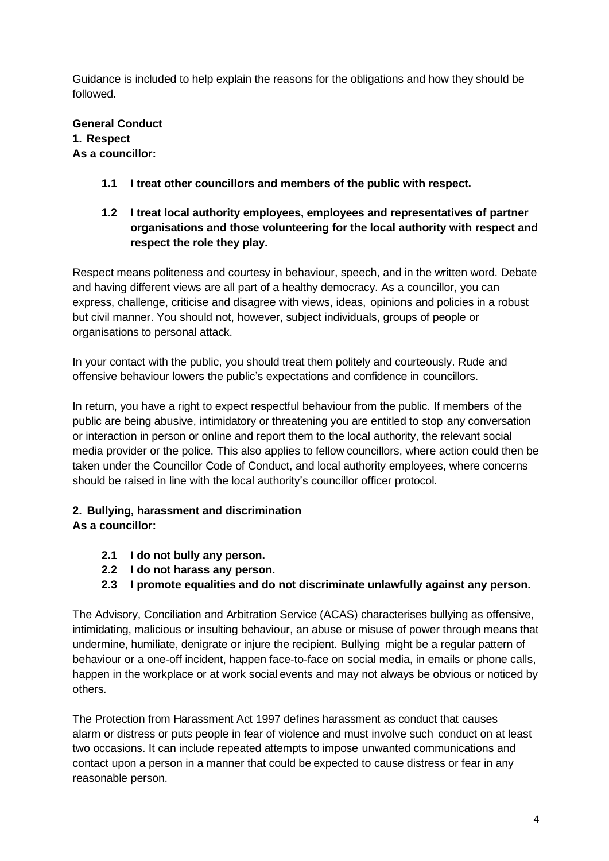Guidance is included to help explain the reasons for the obligations and how they should be followed.

#### **General Conduct 1. Respect As a councillor:**

- **1.1 I treat other councillors and members of the public with respect.**
- **1.2 I treat local authority employees, employees and representatives of partner organisations and those volunteering for the local authority with respect and respect the role they play.**

Respect means politeness and courtesy in behaviour, speech, and in the written word. Debate and having different views are all part of a healthy democracy. As a councillor, you can express, challenge, criticise and disagree with views, ideas, opinions and policies in a robust but civil manner. You should not, however, subject individuals, groups of people or organisations to personal attack.

In your contact with the public, you should treat them politely and courteously. Rude and offensive behaviour lowers the public's expectations and confidence in councillors.

In return, you have a right to expect respectful behaviour from the public. If members of the public are being abusive, intimidatory or threatening you are entitled to stop any conversation or interaction in person or online and report them to the local authority, the relevant social media provider or the police. This also applies to fellow councillors, where action could then be taken under the Councillor Code of Conduct, and local authority employees, where concerns should be raised in line with the local authority's councillor officer protocol.

# **2. Bullying, harassment and discrimination**

# **As a councillor:**

- **2.1 I do not bully any person.**
- **2.2 I do not harass any person.**
- **2.3 I promote equalities and do not discriminate unlawfully against any person.**

The Advisory, Conciliation and Arbitration Service (ACAS) characterises bullying as offensive, intimidating, malicious or insulting behaviour, an abuse or misuse of power through means that undermine, humiliate, denigrate or injure the recipient. Bullying might be a regular pattern of behaviour or a one-off incident, happen face-to-face on social media, in emails or phone calls, happen in the workplace or at work social events and may not always be obvious or noticed by others.

The Protection from Harassment Act 1997 defines harassment as conduct that causes alarm or distress or puts people in fear of violence and must involve such conduct on at least two occasions. It can include repeated attempts to impose unwanted communications and contact upon a person in a manner that could be expected to cause distress or fear in any reasonable person.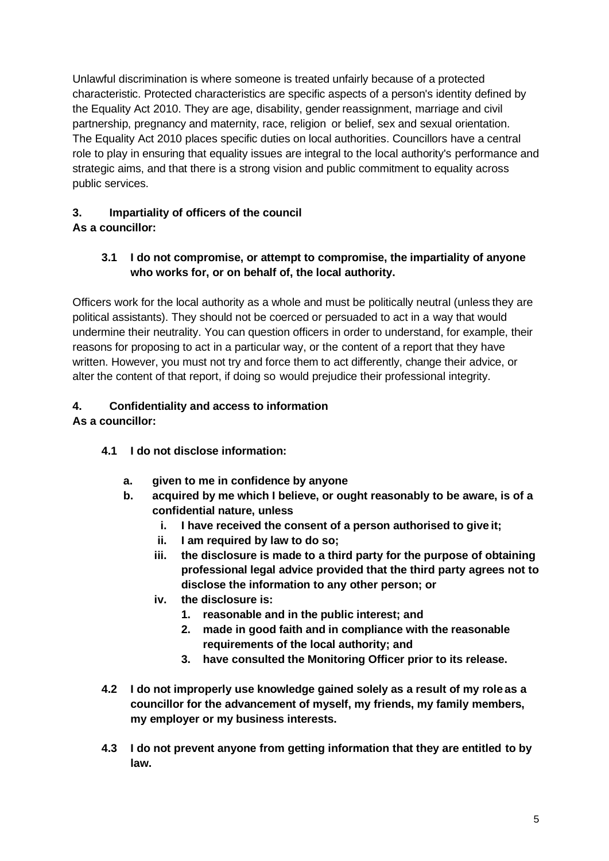Unlawful discrimination is where someone is treated unfairly because of a protected characteristic. Protected characteristics are specific aspects of a person's identity defined by the Equality Act 2010. They are age, disability, gender reassignment, marriage and civil partnership, pregnancy and maternity, race, religion or belief, sex and sexual orientation. The Equality Act 2010 places specific duties on local authorities. Councillors have a central role to play in ensuring that equality issues are integral to the local authority's performance and strategic aims, and that there is a strong vision and public commitment to equality across public services.

# **3. Impartiality of officers of the council**

# **As a councillor:**

# **3.1 I do not compromise, or attempt to compromise, the impartiality of anyone who works for, or on behalf of, the local authority.**

Officers work for the local authority as a whole and must be politically neutral (unless they are political assistants). They should not be coerced or persuaded to act in a way that would undermine their neutrality. You can question officers in order to understand, for example, their reasons for proposing to act in a particular way, or the content of a report that they have written. However, you must not try and force them to act differently, change their advice, or alter the content of that report, if doing so would prejudice their professional integrity.

# **4. Confidentiality and access to information**

# **As a councillor:**

- **4.1 I do not disclose information:**
	- **a. given to me in confidence by anyone**
	- **b. acquired by me which I believe, or ought reasonably to be aware, is of a confidential nature, unless**
		- **i. I have received the consent of a person authorised to give it;**
		- **ii. I am required by law to do so;**
		- **iii. the disclosure is made to a third party for the purpose of obtaining professional legal advice provided that the third party agrees not to disclose the information to any other person; or**
		- **iv. the disclosure is:**
			- **1. reasonable and in the public interest; and**
			- **2. made in good faith and in compliance with the reasonable requirements of the local authority; and**
			- **3. have consulted the Monitoring Officer prior to its release.**
- **4.2 I do not improperly use knowledge gained solely as a result of my role as a councillor for the advancement of myself, my friends, my family members, my employer or my business interests.**
- **4.3 I do not prevent anyone from getting information that they are entitled to by law.**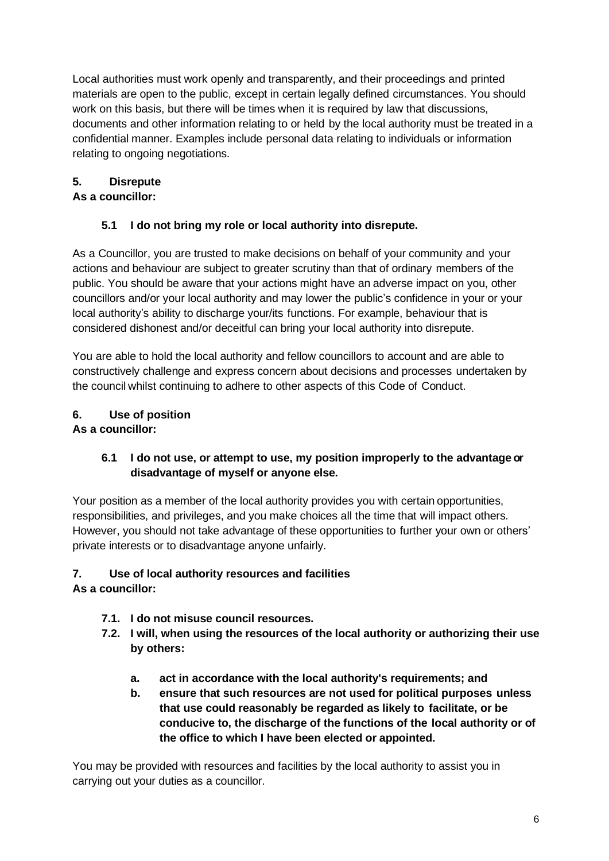Local authorities must work openly and transparently, and their proceedings and printed materials are open to the public, except in certain legally defined circumstances. You should work on this basis, but there will be times when it is required by law that discussions, documents and other information relating to or held by the local authority must be treated in a confidential manner. Examples include personal data relating to individuals or information relating to ongoing negotiations.

# **5. Disrepute**

### **As a councillor:**

# **5.1 I do not bring my role or local authority into disrepute.**

As a Councillor, you are trusted to make decisions on behalf of your community and your actions and behaviour are subject to greater scrutiny than that of ordinary members of the public. You should be aware that your actions might have an adverse impact on you, other councillors and/or your local authority and may lower the public's confidence in your or your local authority's ability to discharge your/its functions. For example, behaviour that is considered dishonest and/or deceitful can bring your local authority into disrepute.

You are able to hold the local authority and fellow councillors to account and are able to constructively challenge and express concern about decisions and processes undertaken by the council whilst continuing to adhere to other aspects of this Code of Conduct.

# **6. Use of position**

# **As a councillor:**

# **6.1 I do not use, or attempt to use, my position improperly to the advantage or disadvantage of myself or anyone else.**

Your position as a member of the local authority provides you with certain opportunities, responsibilities, and privileges, and you make choices all the time that will impact others. However, you should not take advantage of these opportunities to further your own or others' private interests or to disadvantage anyone unfairly.

# **7. Use of local authority resources and facilities**

# **As a councillor:**

- **7.1. I do not misuse council resources.**
- **7.2. I will, when using the resources of the local authority or authorizing their use by others:**
	- **a. act in accordance with the local authority's requirements; and**
	- **b. ensure that such resources are not used for political purposes unless that use could reasonably be regarded as likely to facilitate, or be conducive to, the discharge of the functions of the local authority or of the office to which I have been elected or appointed.**

You may be provided with resources and facilities by the local authority to assist you in carrying out your duties as a councillor.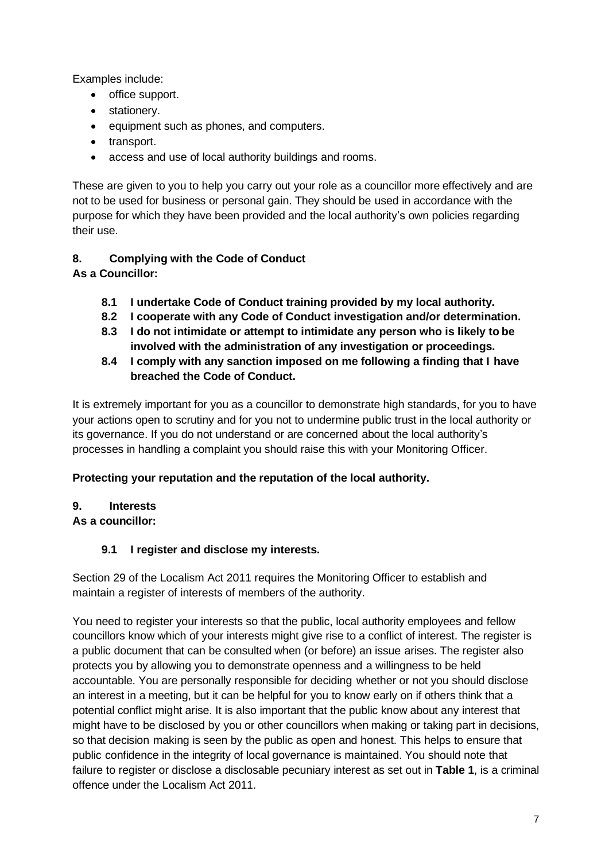Examples include:

- office support.
- stationery.
- equipment such as phones, and computers.
- transport.
- access and use of local authority buildings and rooms.

These are given to you to help you carry out your role as a councillor more effectively and are not to be used for business or personal gain. They should be used in accordance with the purpose for which they have been provided and the local authority's own policies regarding their use.

# **8. Complying with the Code of Conduct**

- **As a Councillor:**
	- **8.1 I undertake Code of Conduct training provided by my local authority.**
	- **8.2 I cooperate with any Code of Conduct investigation and/or determination.**
	- **8.3 I do not intimidate or attempt to intimidate any person who is likely to be involved with the administration of any investigation or proceedings.**
	- **8.4 I comply with any sanction imposed on me following a finding that I have breached the Code of Conduct.**

It is extremely important for you as a councillor to demonstrate high standards, for you to have your actions open to scrutiny and for you not to undermine public trust in the local authority or its governance. If you do not understand or are concerned about the local authority's processes in handling a complaint you should raise this with your Monitoring Officer.

#### **Protecting your reputation and the reputation of the local authority.**

#### **9. Interests**

# **As a councillor:**

# **9.1 I register and disclose my interests.**

Section 29 of the Localism Act 2011 requires the Monitoring Officer to establish and maintain a register of interests of members of the authority.

You need to register your interests so that the public, local authority employees and fellow councillors know which of your interests might give rise to a conflict of interest. The register is a public document that can be consulted when (or before) an issue arises. The register also protects you by allowing you to demonstrate openness and a willingness to be held accountable. You are personally responsible for deciding whether or not you should disclose an interest in a meeting, but it can be helpful for you to know early on if others think that a potential conflict might arise. It is also important that the public know about any interest that might have to be disclosed by you or other councillors when making or taking part in decisions, so that decision making is seen by the public as open and honest. This helps to ensure that public confidence in the integrity of local governance is maintained. You should note that failure to register or disclose a disclosable pecuniary interest as set out in **Table 1**, is a criminal offence under the Localism Act 2011.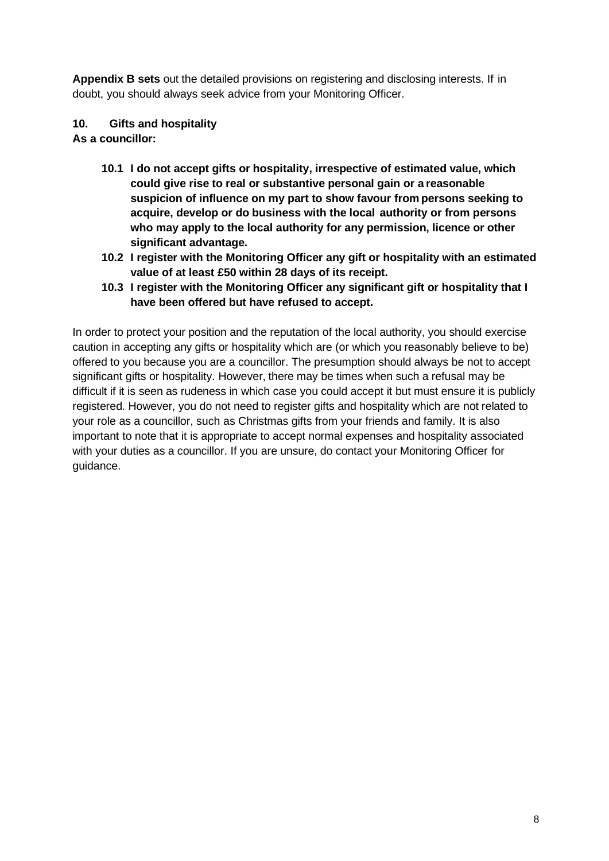**Appendix B sets** out the detailed provisions on registering and disclosing interests. If in doubt, you should always seek advice from your Monitoring Officer.

#### **10. Gifts and hospitality**

**As a councillor:**

- **10.1 I do not accept gifts or hospitality, irrespective of estimated value, which could give rise to real or substantive personal gain or a reasonable suspicion of influence on my part to show favour from persons seeking to acquire, develop or do business with the local authority or from persons who may apply to the local authority for any permission, licence or other significant advantage.**
- **10.2 I register with the Monitoring Officer any gift or hospitality with an estimated value of at least £50 within 28 days of its receipt.**
- **10.3 I register with the Monitoring Officer any significant gift or hospitality that I have been offered but have refused to accept.**

In order to protect your position and the reputation of the local authority, you should exercise caution in accepting any gifts or hospitality which are (or which you reasonably believe to be) offered to you because you are a councillor. The presumption should always be not to accept significant gifts or hospitality. However, there may be times when such a refusal may be difficult if it is seen as rudeness in which case you could accept it but must ensure it is publicly registered. However, you do not need to register gifts and hospitality which are not related to your role as a councillor, such as Christmas gifts from your friends and family. It is also important to note that it is appropriate to accept normal expenses and hospitality associated with your duties as a councillor. If you are unsure, do contact your Monitoring Officer for guidance.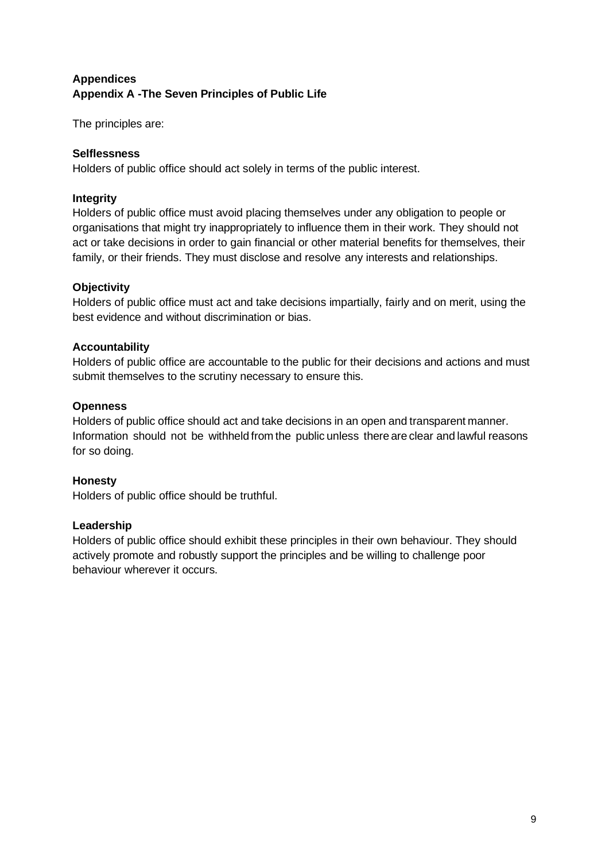# **Appendices Appendix A -The Seven Principles of Public Life**

The principles are:

#### **Selflessness**

Holders of public office should act solely in terms of the public interest.

#### **Integrity**

Holders of public office must avoid placing themselves under any obligation to people or organisations that might try inappropriately to influence them in their work. They should not act or take decisions in order to gain financial or other material benefits for themselves, their family, or their friends. They must disclose and resolve any interests and relationships.

#### **Objectivity**

Holders of public office must act and take decisions impartially, fairly and on merit, using the best evidence and without discrimination or bias.

#### **Accountability**

Holders of public office are accountable to the public for their decisions and actions and must submit themselves to the scrutiny necessary to ensure this.

#### **Openness**

Holders of public office should act and take decisions in an open and transparent manner. Information should not be withheld from the public unless there are clear and lawful reasons for so doing.

#### **Honesty**

Holders of public office should be truthful.

#### **Leadership**

Holders of public office should exhibit these principles in their own behaviour. They should actively promote and robustly support the principles and be willing to challenge poor behaviour wherever it occurs.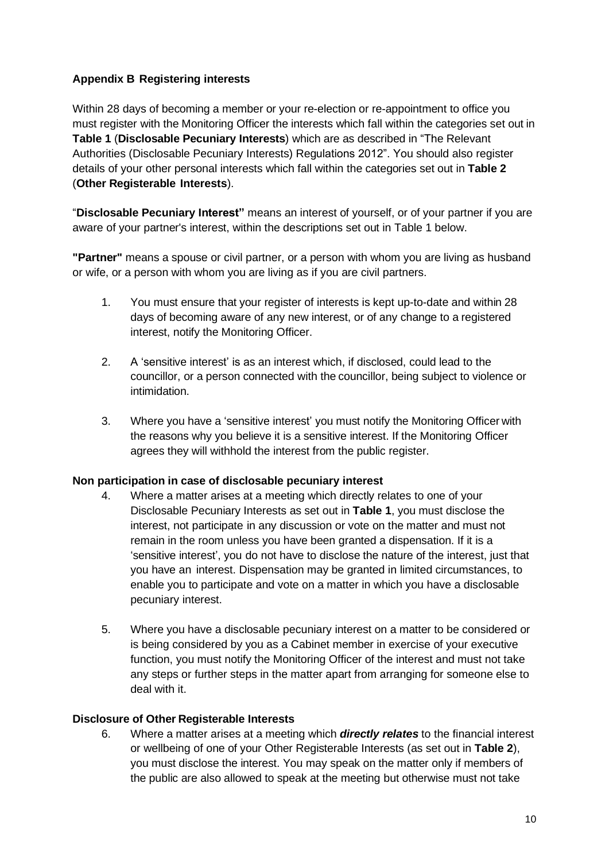#### **Appendix B Registering interests**

Within 28 days of becoming a member or your re-election or re-appointment to office you must register with the Monitoring Officer the interests which fall within the categories set out in **Table 1** (**Disclosable Pecuniary Interests**) which are as described in "The Relevant Authorities (Disclosable Pecuniary Interests) Regulations 2012". You should also register details of your other personal interests which fall within the categories set out in **Table 2** (**Other Registerable Interests**).

"**Disclosable Pecuniary Interest"** means an interest of yourself, or of your partner if you are aware of your partner's interest, within the descriptions set out in Table 1 below.

**"Partner"** means a spouse or civil partner, or a person with whom you are living as husband or wife, or a person with whom you are living as if you are civil partners.

- 1. You must ensure that your register of interests is kept up-to-date and within 28 days of becoming aware of any new interest, or of any change to a registered interest, notify the Monitoring Officer.
- 2. A 'sensitive interest' is as an interest which, if disclosed, could lead to the councillor, or a person connected with the councillor, being subject to violence or intimidation.
- 3. Where you have a 'sensitive interest' you must notify the Monitoring Officer with the reasons why you believe it is a sensitive interest. If the Monitoring Officer agrees they will withhold the interest from the public register.

#### **Non participation in case of disclosable pecuniary interest**

- 4. Where a matter arises at a meeting which directly relates to one of your Disclosable Pecuniary Interests as set out in **Table 1**, you must disclose the interest, not participate in any discussion or vote on the matter and must not remain in the room unless you have been granted a dispensation. If it is a 'sensitive interest', you do not have to disclose the nature of the interest, just that you have an interest. Dispensation may be granted in limited circumstances, to enable you to participate and vote on a matter in which you have a disclosable pecuniary interest.
- 5. Where you have a disclosable pecuniary interest on a matter to be considered or is being considered by you as a Cabinet member in exercise of your executive function, you must notify the Monitoring Officer of the interest and must not take any steps or further steps in the matter apart from arranging for someone else to deal with it.

#### **Disclosure of Other Registerable Interests**

6. Where a matter arises at a meeting which *directly relates* to the financial interest or wellbeing of one of your Other Registerable Interests (as set out in **Table 2**), you must disclose the interest. You may speak on the matter only if members of the public are also allowed to speak at the meeting but otherwise must not take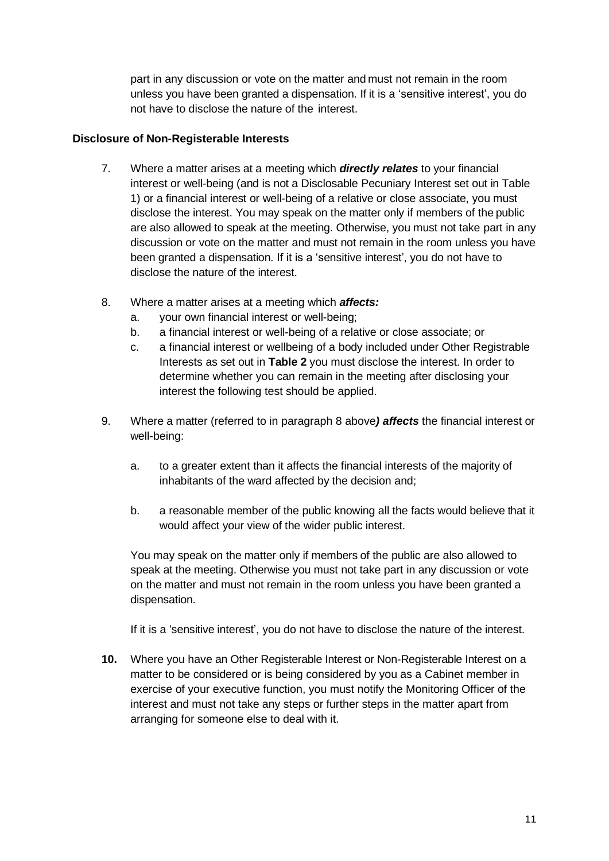part in any discussion or vote on the matter and must not remain in the room unless you have been granted a dispensation. If it is a 'sensitive interest', you do not have to disclose the nature of the interest.

#### **Disclosure of Non-Registerable Interests**

- 7. Where a matter arises at a meeting which *directly relates* to your financial interest or well-being (and is not a Disclosable Pecuniary Interest set out in Table 1) or a financial interest or well-being of a relative or close associate, you must disclose the interest. You may speak on the matter only if members of the public are also allowed to speak at the meeting. Otherwise, you must not take part in any discussion or vote on the matter and must not remain in the room unless you have been granted a dispensation. If it is a 'sensitive interest', you do not have to disclose the nature of the interest.
- 8. Where a matter arises at a meeting which *affects:*
	- a. your own financial interest or well-being;
	- b. a financial interest or well-being of a relative or close associate; or
	- c. a financial interest or wellbeing of a body included under Other Registrable Interests as set out in **Table 2** you must disclose the interest. In order to determine whether you can remain in the meeting after disclosing your interest the following test should be applied.
- 9. Where a matter (referred to in paragraph 8 above*) affects* the financial interest or well-being:
	- a. to a greater extent than it affects the financial interests of the majority of inhabitants of the ward affected by the decision and;
	- b. a reasonable member of the public knowing all the facts would believe that it would affect your view of the wider public interest.

You may speak on the matter only if members of the public are also allowed to speak at the meeting. Otherwise you must not take part in any discussion or vote on the matter and must not remain in the room unless you have been granted a dispensation.

If it is a 'sensitive interest', you do not have to disclose the nature of the interest.

**10.** Where you have an Other Registerable Interest or Non-Registerable Interest on a matter to be considered or is being considered by you as a Cabinet member in exercise of your executive function, you must notify the Monitoring Officer of the interest and must not take any steps or further steps in the matter apart from arranging for someone else to deal with it.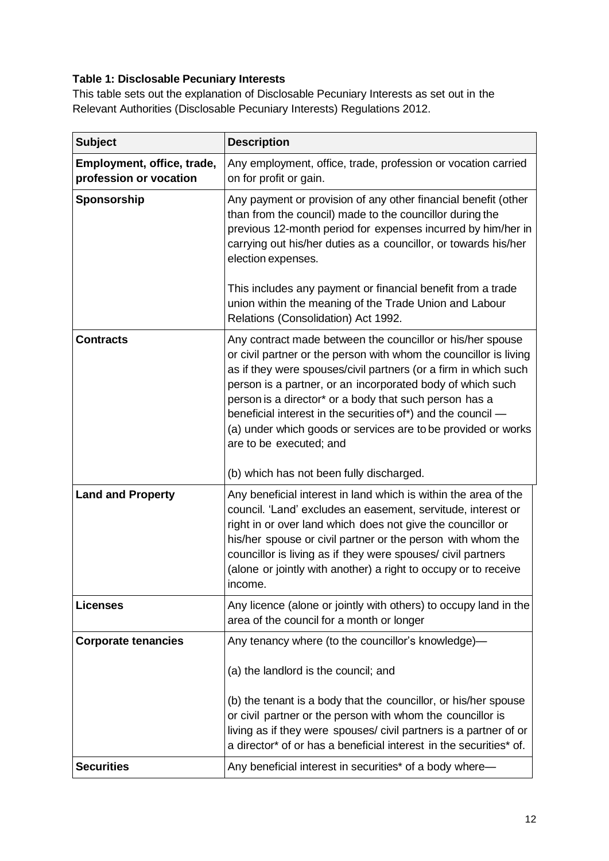# **Table 1: Disclosable Pecuniary Interests**

This table sets out the explanation of Disclosable Pecuniary Interests as set out in the Relevant Authorities [\(Disclosable Pecuniary Interests\) Regulations](https://www.legislation.gov.uk/uksi/2012/1464/made) 2012.

| <b>Subject</b>                                       | <b>Description</b>                                                                                                                                                                                                                                                                                                                                                                                                                                                                     |
|------------------------------------------------------|----------------------------------------------------------------------------------------------------------------------------------------------------------------------------------------------------------------------------------------------------------------------------------------------------------------------------------------------------------------------------------------------------------------------------------------------------------------------------------------|
| Employment, office, trade,<br>profession or vocation | Any employment, office, trade, profession or vocation carried<br>on for profit or gain.                                                                                                                                                                                                                                                                                                                                                                                                |
| Sponsorship                                          | Any payment or provision of any other financial benefit (other<br>than from the council) made to the councillor during the<br>previous 12-month period for expenses incurred by him/her in<br>carrying out his/her duties as a councillor, or towards his/her<br>election expenses.<br>This includes any payment or financial benefit from a trade<br>union within the meaning of the Trade Union and Labour                                                                           |
|                                                      | Relations (Consolidation) Act 1992.                                                                                                                                                                                                                                                                                                                                                                                                                                                    |
| <b>Contracts</b>                                     | Any contract made between the councillor or his/her spouse<br>or civil partner or the person with whom the councillor is living<br>as if they were spouses/civil partners (or a firm in which such<br>person is a partner, or an incorporated body of which such<br>person is a director* or a body that such person has a<br>beneficial interest in the securities of*) and the council -<br>(a) under which goods or services are to be provided or works<br>are to be executed; and |
|                                                      | (b) which has not been fully discharged.                                                                                                                                                                                                                                                                                                                                                                                                                                               |
| <b>Land and Property</b>                             | Any beneficial interest in land which is within the area of the<br>council. 'Land' excludes an easement, servitude, interest or<br>right in or over land which does not give the councillor or<br>his/her spouse or civil partner or the person with whom the<br>councillor is living as if they were spouses/ civil partners<br>(alone or jointly with another) a right to occupy or to receive<br>income.                                                                            |
| <b>Licenses</b>                                      | Any licence (alone or jointly with others) to occupy land in the<br>area of the council for a month or longer                                                                                                                                                                                                                                                                                                                                                                          |
| <b>Corporate tenancies</b>                           | Any tenancy where (to the councillor's knowledge)—                                                                                                                                                                                                                                                                                                                                                                                                                                     |
|                                                      | (a) the landlord is the council; and                                                                                                                                                                                                                                                                                                                                                                                                                                                   |
|                                                      | (b) the tenant is a body that the councillor, or his/her spouse<br>or civil partner or the person with whom the councillor is<br>living as if they were spouses/ civil partners is a partner of or<br>a director* of or has a beneficial interest in the securities* of.                                                                                                                                                                                                               |
| <b>Securities</b>                                    | Any beneficial interest in securities* of a body where—                                                                                                                                                                                                                                                                                                                                                                                                                                |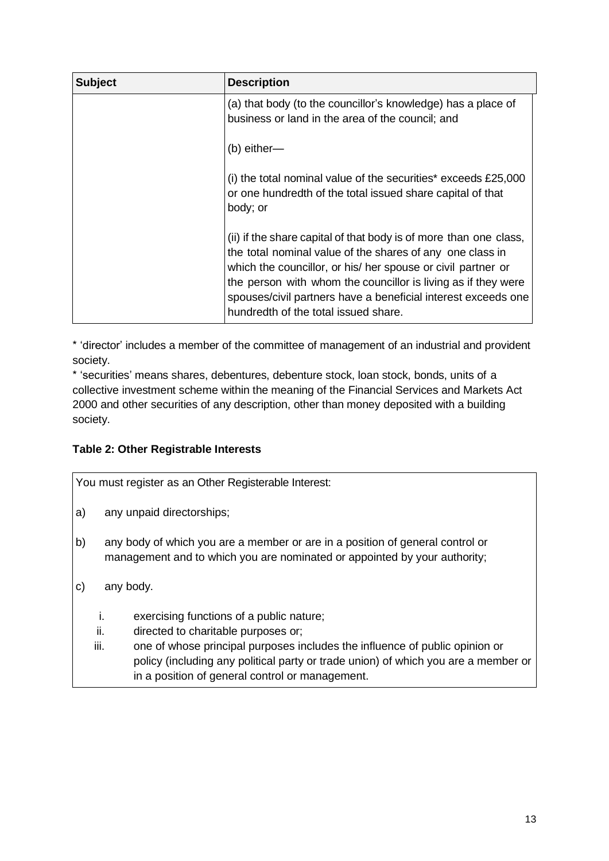| <b>Subject</b> | <b>Description</b>                                                                                                                                                                                                                                                                                                                                                       |
|----------------|--------------------------------------------------------------------------------------------------------------------------------------------------------------------------------------------------------------------------------------------------------------------------------------------------------------------------------------------------------------------------|
|                | (a) that body (to the councillor's knowledge) has a place of<br>business or land in the area of the council; and                                                                                                                                                                                                                                                         |
|                | $(b)$ either—                                                                                                                                                                                                                                                                                                                                                            |
|                | (i) the total nominal value of the securities* exceeds $£25,000$<br>or one hundredth of the total issued share capital of that<br>body; or                                                                                                                                                                                                                               |
|                | (ii) if the share capital of that body is of more than one class,<br>the total nominal value of the shares of any one class in<br>which the councillor, or his/ her spouse or civil partner or<br>the person with whom the councillor is living as if they were<br>spouses/civil partners have a beneficial interest exceeds one<br>hundredth of the total issued share. |

\* 'director' includes a member of the committee of management of an industrial and provident society.

\* 'securities' means shares, debentures, debenture stock, loan stock, bonds, units of a collective investment scheme within the meaning of the Financial Services and Markets Act 2000 and other securities of any description, other than money deposited with a building society.

# **Table 2: Other Registrable Interests**

You must register as an Other Registerable Interest:

- a) any unpaid directorships;
- b) any body of which you are a member or are in a position of general control or management and to which you are nominated or appointed by your authority;
- c) any body.
	- i. exercising functions of a public nature;
	- ii. directed to charitable purposes or;
	- iii. one of whose principal purposes includes the influence of public opinion or policy (including any political party or trade union) of which you are a member or in a position of general control or management.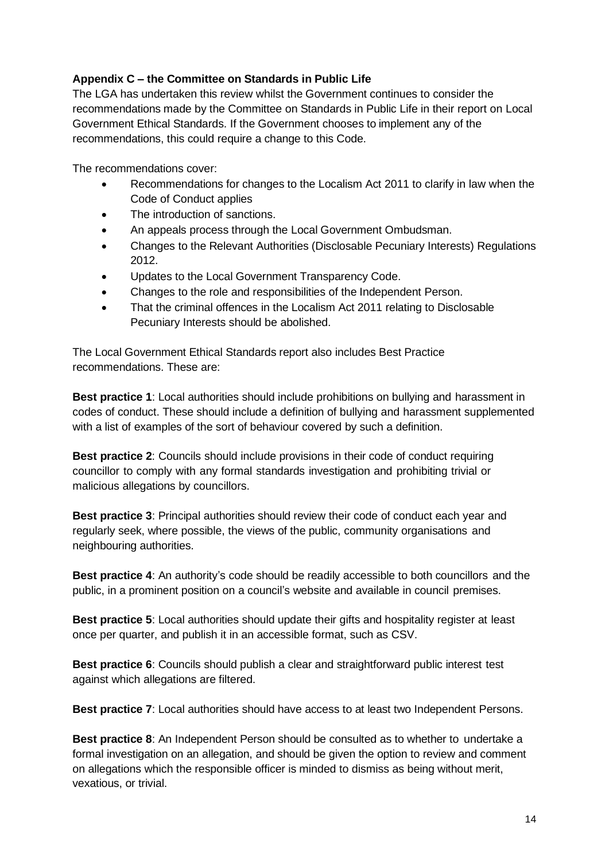#### **Appendix C – the Committee on Standards in Public Life**

The LGA has undertaken this review whilst the Government continues to consider the recommendations made by the Committee on Standards in Public Life in their report on [Local](https://www.gov.uk/government/publications/local-government-ethical-standards-report)  [Government Ethical Standards.](https://www.gov.uk/government/publications/local-government-ethical-standards-report) If the Government chooses to implement any of the recommendations, this could require a change to this Code.

The recommendations cover:

- Recommendations for changes to the Localism Act 2011 to clarify in law when the Code of Conduct applies
- The introduction of sanctions.
- An appeals process through the Local Government Ombudsman.
- Changes to the Relevant Authorities (Disclosable Pecuniary Interests) Regulations 2012.
- Updates to the Local Government Transparency Code.
- Changes to the role and responsibilities of the Independent Person.
- That the criminal offences in the Localism Act 2011 relating to Disclosable Pecuniary Interests should be abolished.

The Local Government Ethical Standards report also includes Best Practice recommendations. These are:

**Best practice 1**: Local authorities should include prohibitions on bullying and harassment in codes of conduct. These should include a definition of bullying and harassment supplemented with a list of examples of the sort of behaviour covered by such a definition.

**Best practice 2**: Councils should include provisions in their code of conduct requiring councillor to comply with any formal standards investigation and prohibiting trivial or malicious allegations by councillors.

**Best practice 3**: Principal authorities should review their code of conduct each year and regularly seek, where possible, the views of the public, community organisations and neighbouring authorities.

**Best practice 4**: An authority's code should be readily accessible to both councillors and the public, in a prominent position on a council's website and available in council premises.

**Best practice 5**: Local authorities should update their gifts and hospitality register at least once per quarter, and publish it in an accessible format, such as CSV.

**Best practice 6**: Councils should publish a clear and straightforward public interest test against which allegations are filtered.

**Best practice 7**: Local authorities should have access to at least two Independent Persons.

**Best practice 8**: An Independent Person should be consulted as to whether to undertake a formal investigation on an allegation, and should be given the option to review and comment on allegations which the responsible officer is minded to dismiss as being without merit, vexatious, or trivial.